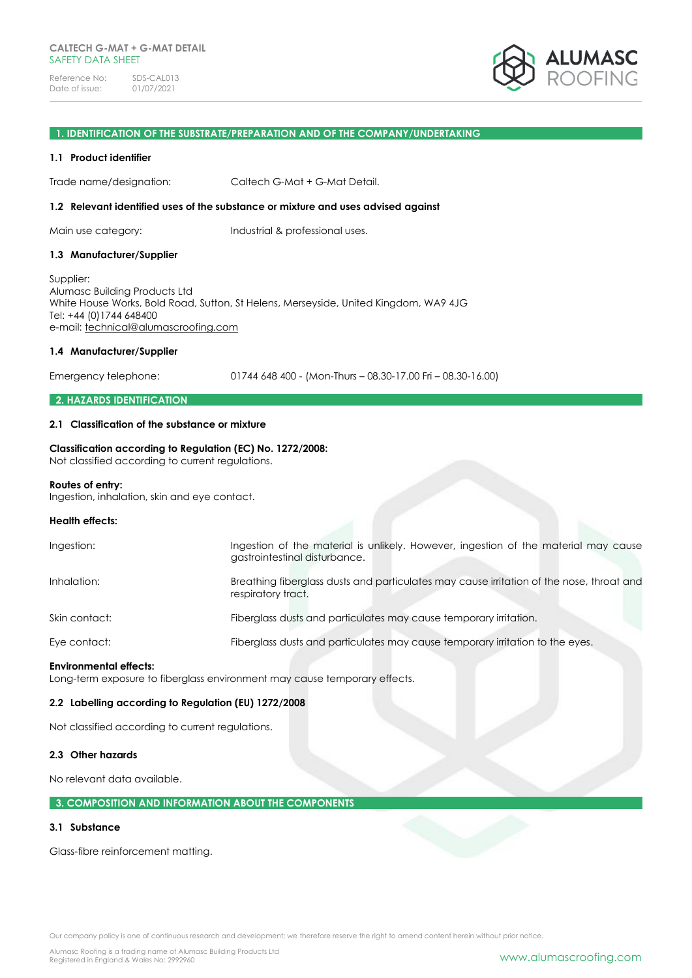

### **1. IDENTIFICATION OF THE SUBSTRATE/PREPARATION AND OF THE COMPANY/UNDERTAKING**

### **1.1 Product identifier**

Trade name/designation: Caltech G-Mat + G-Mat Detail.

### **1.2 Relevant identified uses of the substance or mixture and uses advised against**

Main use category: Industrial & professional uses.

### **1.3 Manufacturer/Supplier**

Supplier: Alumasc Building Products Ltd White House Works, Bold Road, Sutton, St Helens, Merseyside, United Kingdom, WA9 4JG Tel: +44 (0)1744 648400 e-mail: [technical@alumascroofing.com](mailto:technical@alumascroofing.com)

### **1.4 Manufacturer/Supplier**

Emergency telephone: 01744 648 400 - (Mon-Thurs – 08.30-17.00 Fri – 08.30-16.00)

### **2. HAZARDS IDENTIFICATION**

### **2.1 Classification of the substance or mixture**

# **Classification according to Regulation (EC) No. 1272/2008:**

Not classified according to current regulations.

# **Routes of entry:**

Ingestion, inhalation, skin and eye contact.

### **Health effects:**

| <b>Environmental effects:</b> |                                                                                                                      |
|-------------------------------|----------------------------------------------------------------------------------------------------------------------|
| Eye contact:                  | Fiberglass dusts and particulates may cause temporary irritation to the eyes.                                        |
| Skin contact:                 | Fiberglass dusts and particulates may cause temporary irritation.                                                    |
| Inhalation:                   | Breathing fiberglass dusts and particulates may cause irritation of the nose, throat and<br>respiratory tract.       |
| Ingestion:                    | Ingestion of the material is unlikely. However, ingestion of the material may cause<br>gastrointestinal disturbance. |

Long-term exposure to fiberglass environment may cause temporary effects.

### **2.2 Labelling according to Regulation (EU) 1272/2008**

Not classified according to current regulations.

# **2.3 Other hazards**

No relevant data available.

# **3. COMPOSITION AND INFORMATION ABOUT THE COMPONENTS**

### **3.1 Substance**

Glass-fibre reinforcement matting.

Our company policy is one of continuous research and development; we therefore reserve the right to amend content herein without prior notice.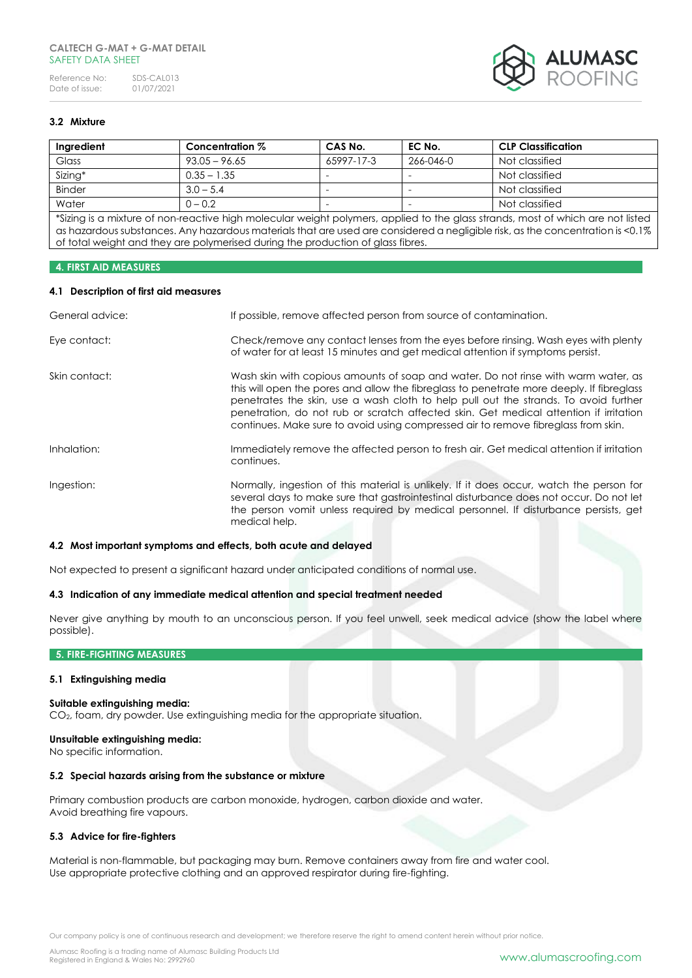

# **3.2 Mixture**

| Ingredient    | Concentration % | CAS No.                  | EC No.    | <b>CLP Classification</b> |
|---------------|-----------------|--------------------------|-----------|---------------------------|
| Glass         | $93.05 - 96.65$ | 65997-17-3               | 266-046-0 | Not classified            |
| Sizing*       | $0.35 - 1.35$   | $\overline{\phantom{a}}$ | -         | Not classified            |
| <b>Binder</b> | $3.0 - 5.4$     |                          |           | Not classified            |
| Water         | $0 - 0.2$       |                          | -         | Not classified            |

\*Sizing is a mixture of non-reactive high molecular weight polymers, applied to the glass strands, most of which are not listed as hazardous substances. Any hazardous materials that are used are considered a negligible risk, as the concentration is <0.1% of total weight and they are polymerised during the production of glass fibres.

### **4. FIRST AID MEASURES**

### **4.1 Description of first aid measures**

| General advice: | If possible, remove affected person from source of contamination.                                                                                                                                                                                                                                                                                                                                                                                      |
|-----------------|--------------------------------------------------------------------------------------------------------------------------------------------------------------------------------------------------------------------------------------------------------------------------------------------------------------------------------------------------------------------------------------------------------------------------------------------------------|
| Eye contact:    | Check/remove any contact lenses from the eyes before rinsing. Wash eyes with plenty<br>of water for at least 15 minutes and get medical attention if symptoms persist.                                                                                                                                                                                                                                                                                 |
| Skin contact:   | Wash skin with copious amounts of soap and water. Do not rinse with warm water, as<br>this will open the pores and allow the fibreglass to penetrate more deeply. If fibreglass<br>penetrates the skin, use a wash cloth to help pull out the strands. To avoid further<br>penetration, do not rub or scratch affected skin. Get medical attention if irritation<br>continues. Make sure to avoid using compressed air to remove fibreglass from skin. |
| Inhalation:     | Immediately remove the affected person to fresh air. Get medical attention if irritation<br>continues.                                                                                                                                                                                                                                                                                                                                                 |
| Ingestion:      | Normally, ingestion of this material is unlikely. If it does occur, watch the person for<br>several days to make sure that gastrointestinal disturbance does not occur. Do not let<br>the person vomit unless required by medical personnel. If disturbance persists, get<br>medical help.                                                                                                                                                             |

### **4.2 Most important symptoms and effects, both acute and delayed**

Not expected to present a significant hazard under anticipated conditions of normal use.

### **4.3 Indication of any immediate medical attention and special treatment needed**

Never give anything by mouth to an unconscious person. If you feel unwell, seek medical advice (show the label where possible).

# **5. FIRE-FIGHTING MEASURES**

### **5.1 Extinguishing media**

#### **Suitable extinguishing media:**

CO2, foam, dry powder. Use extinguishing media for the appropriate situation.

#### **Unsuitable extinguishing media:**

No specific information.

### **5.2 Special hazards arising from the substance or mixture**

Primary combustion products are carbon monoxide, hydrogen, carbon dioxide and water. Avoid breathing fire vapours.

### **5.3 Advice for fire-fighters**

Material is non-flammable, but packaging may burn. Remove containers away from fire and water cool. Use appropriate protective clothing and an approved respirator during fire-fighting.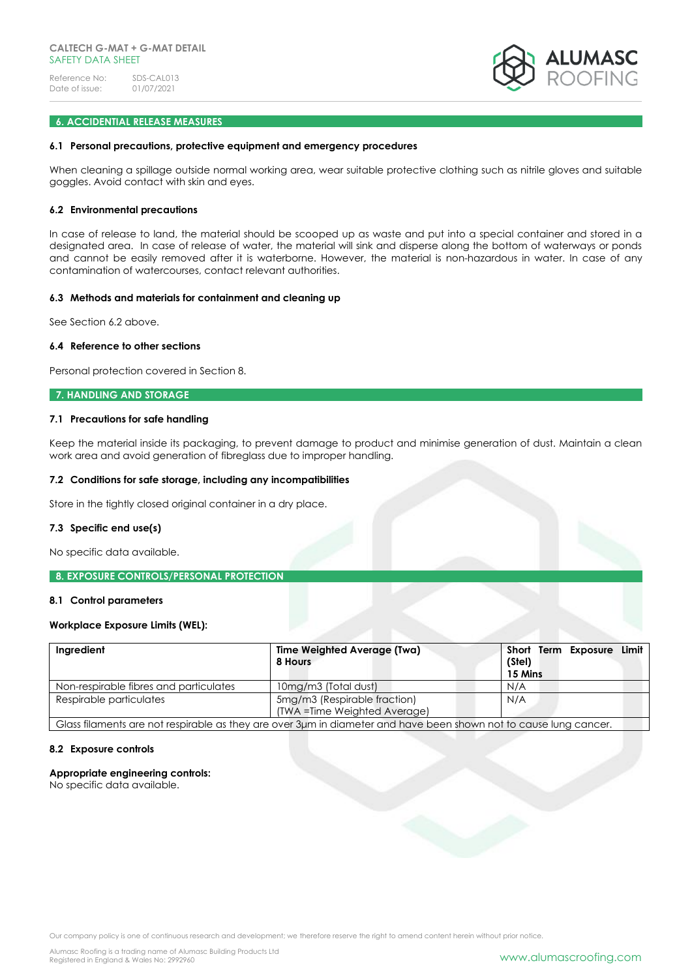

### **6. ACCIDENTIAL RELEASE MEASURES**

#### **6.1 Personal precautions, protective equipment and emergency procedures**

When cleaning a spillage outside normal working area, wear suitable protective clothing such as nitrile gloves and suitable goggles. Avoid contact with skin and eyes.

#### **6.2 Environmental precautions**

In case of release to land, the material should be scooped up as waste and put into a special container and stored in a designated area. In case of release of water, the material will sink and disperse along the bottom of waterways or ponds and cannot be easily removed after it is waterborne. However, the material is non-hazardous in water. In case of any contamination of watercourses, contact relevant authorities.

# **6.3 Methods and materials for containment and cleaning up**

See Section 6.2 above.

### **6.4 Reference to other sections**

Personal protection covered in Section 8.

### **7. HANDLING AND STORAGE**

### **7.1 Precautions for safe handling**

Keep the material inside its packaging, to prevent damage to product and minimise generation of dust. Maintain a clean work area and avoid generation of fibreglass due to improper handling.

# **7.2 Conditions for safe storage, including any incompatibilities**

Store in the tightly closed original container in a dry place.

#### **7.3 Specific end use(s)**

No specific data available.

### **8. EXPOSURE CONTROLS/PERSONAL PROTECTION**

# **8.1 Control parameters**

### **Workplace Exposure Limits (WEL):**

| Ingredient                             | <b>Time Weighted Average (Twa)</b><br>8 Hours                                                                     | Exposure Limit<br>Short Term<br>(Stel)<br>15 Mins |
|----------------------------------------|-------------------------------------------------------------------------------------------------------------------|---------------------------------------------------|
| Non-respirable fibres and particulates | 10mg/m3 (Total dust)                                                                                              | N/A                                               |
| Respirable particulates                | 5mg/m3 (Respirable fraction)                                                                                      | N/A                                               |
|                                        | (TWA = Time Weighted Average)                                                                                     |                                                   |
|                                        | Glass filaments are not respirable as they are over 3µm in diameter and have been shown not to cause lung cancer. |                                                   |

#### **8.2 Exposure controls**

# **Appropriate engineering controls:**

No specific data available.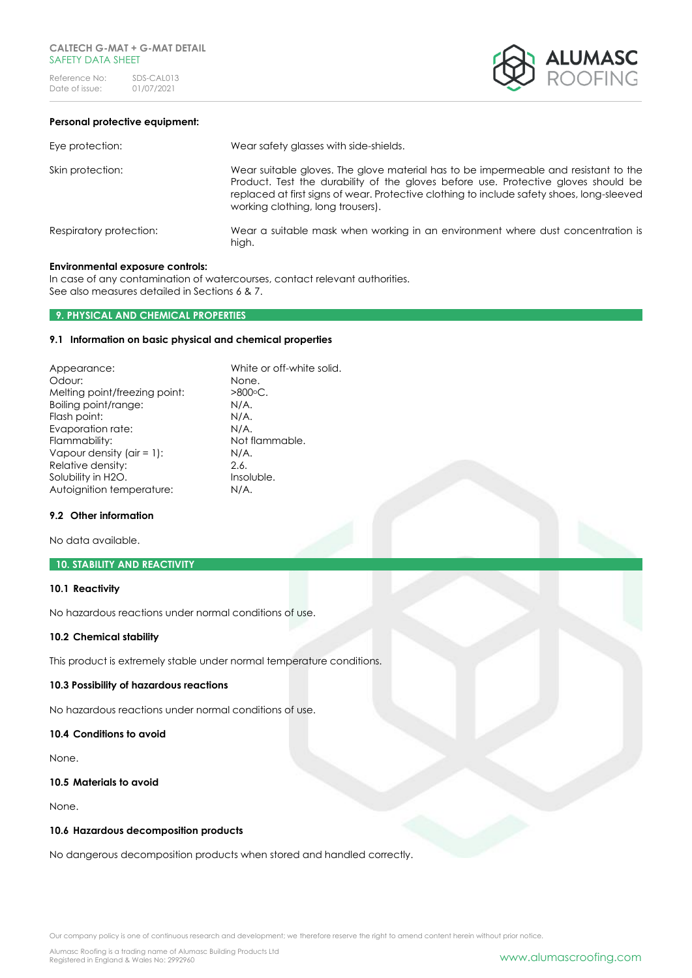

# **Personal protective equipment:**

| Eye protection:         | Wear safety glasses with side-shields.                                                                                                                                                                                                                                                                       |
|-------------------------|--------------------------------------------------------------------------------------------------------------------------------------------------------------------------------------------------------------------------------------------------------------------------------------------------------------|
| Skin protection:        | Wear suitable gloves. The glove material has to be impermeable and resistant to the<br>Product. Test the durability of the gloves before use. Protective gloves should be<br>replaced at first signs of wear. Protective clothing to include safety shoes, long-sleeved<br>working clothing, long trousers). |
| Respiratory protection: | Wear a suitable mask when working in an environment where dust concentration is<br>high.                                                                                                                                                                                                                     |

### **Environmental exposure controls:**

In case of any contamination of watercourses, contact relevant authorities. See also measures detailed in Sections 6 & 7.

### **9. PHYSICAL AND CHEMICAL PROPERTIES**

# **9.1 Information on basic physical and chemical properties**

| White or off-white solid. |
|---------------------------|
| None.                     |
| $>800^{\circ}$ C.         |
| $N/A$ .                   |
| $N/A$ .                   |
| $N/A$ .                   |
| Not flammable.            |
| N/A.                      |
| 2.6.                      |
| Insoluble.                |
| N/A.                      |
|                           |

# **9.2 Other information**

No data available.

# **10. STABILITY AND REACTIVITY**

### **10.1 Reactivity**

No hazardous reactions under normal conditions of use.

#### **10.2 Chemical stability**

This product is extremely stable under normal temperature conditions.

# **10.3 Possibility of hazardous reactions**

No hazardous reactions under normal conditions of use.

# **10.4 Conditions to avoid**

None.

# **10.5 Materials to avoid**

None.

# **10.6 Hazardous decomposition products**

No dangerous decomposition products when stored and handled correctly.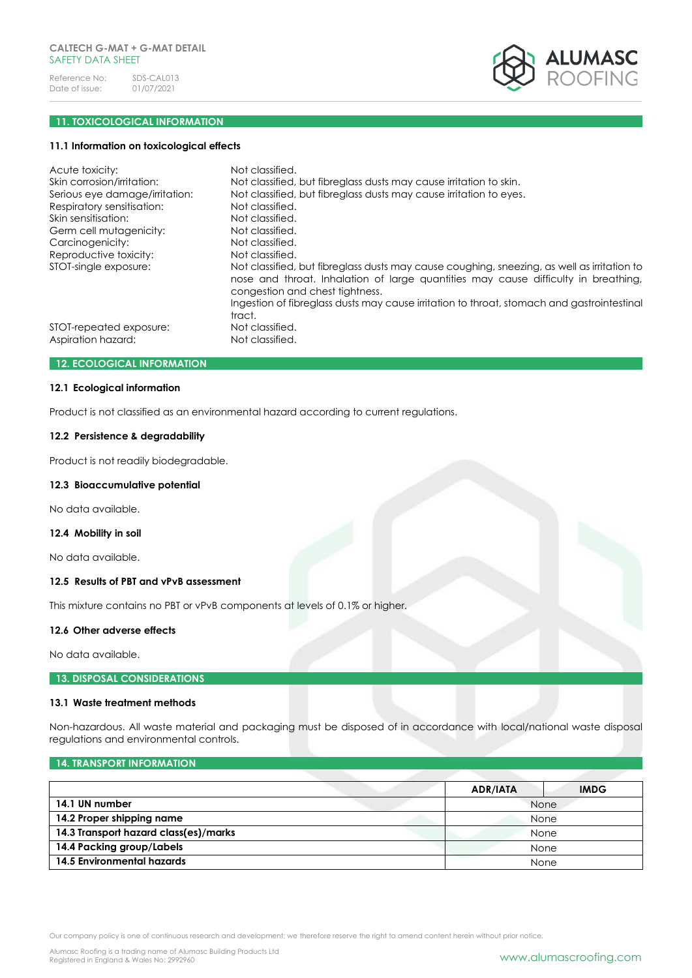

# **11. TOXICOLOGICAL INFORMATION**

#### **11.1 Information on toxicological effects**

| Acute toxicity:                | Not classified.                                                                                                                                                                                                      |
|--------------------------------|----------------------------------------------------------------------------------------------------------------------------------------------------------------------------------------------------------------------|
| Skin corrosion/irritation:     | Not classified, but fibreglass dusts may cause irritation to skin.                                                                                                                                                   |
| Serious eye damage/irritation: | Not classified, but fibreglass dusts may cause irritation to eyes.                                                                                                                                                   |
| Respiratory sensitisation:     | Not classified.                                                                                                                                                                                                      |
| Skin sensitisation:            | Not classified.                                                                                                                                                                                                      |
| Germ cell mutagenicity:        | Not classified.                                                                                                                                                                                                      |
| Carcinogenicity:               | Not classified.                                                                                                                                                                                                      |
| Reproductive toxicity:         | Not classified.                                                                                                                                                                                                      |
| STOT-single exposure:          | Not classified, but fibreglass dusts may cause coughing, sneezing, as well as irritation to<br>nose and throat. Inhalation of large quantities may cause difficulty in breathing,<br>congestion and chest tightness. |
|                                | Ingestion of fibreglass dusts may cause irritation to throat, stomach and gastrointestinal<br>tract.                                                                                                                 |
| STOT-repeated exposure:        | Not classified.                                                                                                                                                                                                      |
| Aspiration hazard:             | Not classified.                                                                                                                                                                                                      |

# **12. ECOLOGICAL INFORMATION**

# **12.1 Ecological information**

Product is not classified as an environmental hazard according to current regulations.

### **12.2 Persistence & degradability**

Product is not readily biodegradable.

#### **12.3 Bioaccumulative potential**

No data available.

# **12.4 Mobility in soil**

No data available.

# **12.5 Results of PBT and vPvB assessment**

This mixture contains no PBT or vPvB components at levels of 0.1% or higher.

# **12.6 Other adverse effects**

No data available.

### **13. DISPOSAL CONSIDERATIONS**

#### **13.1 Waste treatment methods**

Non-hazardous. All waste material and packaging must be disposed of in accordance with local/national waste disposal regulations and environmental controls.

# **14. TRANSPORT INFORMATION**

|                                       | <b>IMDG</b><br><b>ADR/IATA</b> |
|---------------------------------------|--------------------------------|
| 14.1 UN number                        | None                           |
| 14.2 Proper shipping name             | None                           |
| 14.3 Transport hazard class(es)/marks | <b>None</b>                    |
| 14.4 Packing group/Labels             | None                           |
| 14.5 Environmental hazards            | None                           |

Our company policy is one of continuous research and development; we therefore reserve the right to amend content herein without prior notice.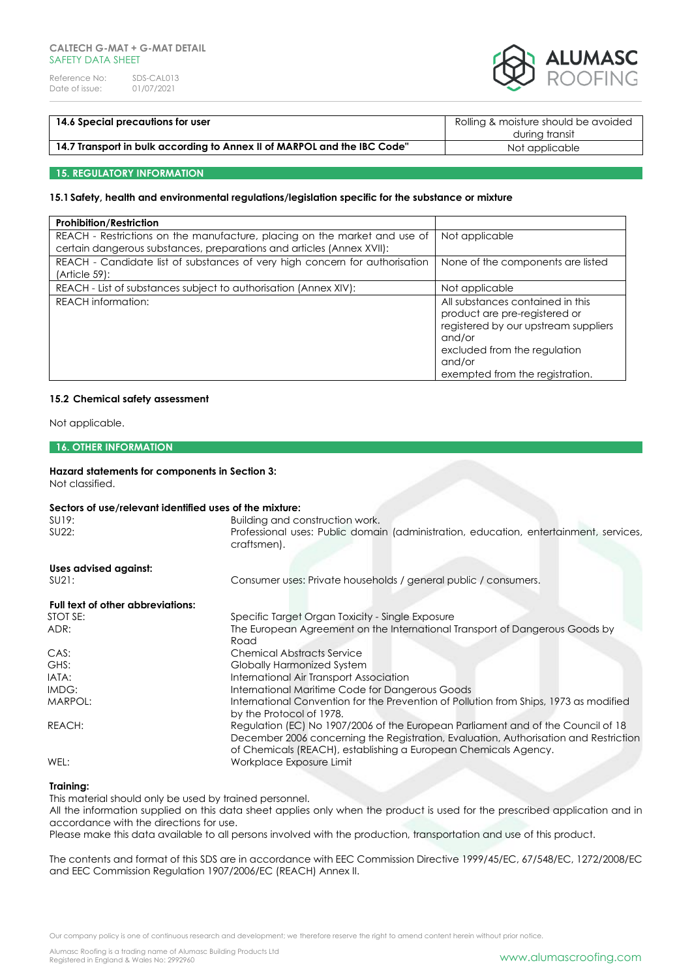

| 14.6 Special precautions for user                                        | Rolling & moisture should be avoided |
|--------------------------------------------------------------------------|--------------------------------------|
|                                                                          | during transit                       |
| 14.7 Transport in bulk according to Annex II of MARPOL and the IBC Code" | Not applicable                       |

### **15. REGULATORY INFORMATION**

# **15.1Safety, health and environmental regulations/legislation specific for the substance or mixture**

| <b>Prohibition/Restriction</b>                                                                                                                     |                                                                                                                                                                                                  |
|----------------------------------------------------------------------------------------------------------------------------------------------------|--------------------------------------------------------------------------------------------------------------------------------------------------------------------------------------------------|
| REACH - Restrictions on the manufacture, placing on the market and use of<br>certain dangerous substances, preparations and articles (Annex XVII): | Not applicable                                                                                                                                                                                   |
| REACH - Candidate list of substances of very high concern for authorisation<br>(Article 59):                                                       | None of the components are listed                                                                                                                                                                |
| REACH - List of substances subject to authorisation (Annex XIV):                                                                                   | Not applicable                                                                                                                                                                                   |
| <b>REACH</b> information:                                                                                                                          | All substances contained in this<br>product are pre-registered or<br>registered by our upstream suppliers<br>and/or<br>excluded from the regulation<br>and/or<br>exempted from the registration. |

### **15.2 Chemical safety assessment**

Not applicable.

### **16. OTHER INFORMATION**

### **Hazard statements for components in Section 3:**

Not classified.

# **Sectors of use/relevant identified uses of the mixture:**

| <u>seciois of ose/relevant identified oses of the filixible.</u> |                                                                                                                                                                                                                                             |
|------------------------------------------------------------------|---------------------------------------------------------------------------------------------------------------------------------------------------------------------------------------------------------------------------------------------|
| SU19:                                                            | Building and construction work.                                                                                                                                                                                                             |
| SU22:                                                            | Professional uses: Public domain (administration, education, entertainment, services,<br>craftsmen).                                                                                                                                        |
| Uses advised against:                                            |                                                                                                                                                                                                                                             |
| SU21:                                                            | Consumer uses: Private households / general public / consumers.                                                                                                                                                                             |
| Full text of other abbreviations:                                |                                                                                                                                                                                                                                             |
| STOT SE:                                                         | Specific Target Organ Toxicity - Single Exposure                                                                                                                                                                                            |
| ADR:                                                             | The European Agreement on the International Transport of Dangerous Goods by                                                                                                                                                                 |
|                                                                  | Road                                                                                                                                                                                                                                        |
| CAS:                                                             | <b>Chemical Abstracts Service</b>                                                                                                                                                                                                           |
| GHS:                                                             | <b>Globally Harmonized System</b>                                                                                                                                                                                                           |
| IATA:                                                            | International Air Transport Association                                                                                                                                                                                                     |
| IMDG:                                                            | International Maritime Code for Dangerous Goods                                                                                                                                                                                             |
| MARPOL:                                                          | International Convention for the Prevention of Pollution from Ships, 1973 as modified<br>by the Protocol of 1978.                                                                                                                           |
| REACH:                                                           | Regulation (EC) No 1907/2006 of the European Parliament and of the Council of 18<br>December 2006 concerning the Registration, Evaluation, Authorisation and Restriction<br>of Chemicals (REACH), establishing a European Chemicals Agency. |
| WEL:                                                             | Workplace Exposure Limit                                                                                                                                                                                                                    |

### **Training:**

This material should only be used by trained personnel.

All the information supplied on this data sheet applies only when the product is used for the prescribed application and in accordance with the directions for use.

Please make this data available to all persons involved with the production, transportation and use of this product.

The contents and format of this SDS are in accordance with EEC Commission Directive 1999/45/EC, 67/548/EC, 1272/2008/EC and EEC Commission Regulation 1907/2006/EC (REACH) Annex II.